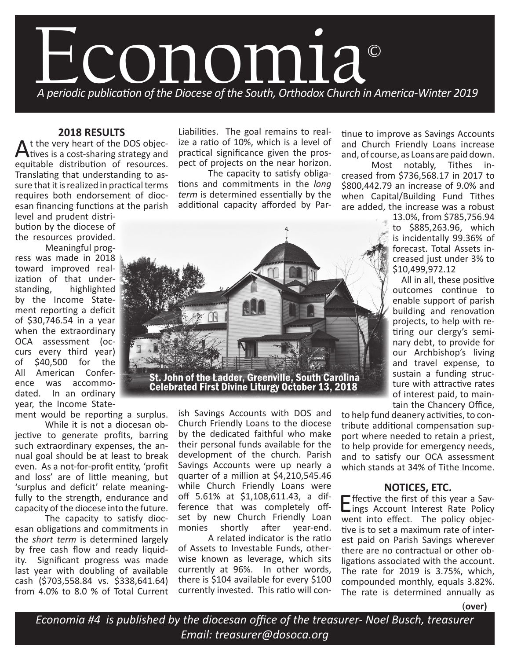

## **2018 RESULTS**

At the very heart of the DOS objectives is a cost-sharing strategy and equitable distribution of resources. Translating that understanding to assure that it is realized in practical terms requires both endorsement of diocesan financing functions at the parish

level and prudent distribution by the diocese of the resources provided.

Meaningful progress was made in 2018 toward improved realization of that understanding, highlighted by the Income Statement reporting a deficit of \$30,746.54 in a year when the extraordinary OCA assessment (occurs every third year) of \$40,500 for the All American Conference was accommodated. In an ordinary year, the Income State-

ment would be reporting a surplus.

While it is not a diocesan objective to generate profits, barring such extraordinary expenses, the annual goal should be at least to break even. As a not-for-profit entity, 'profit and loss' are of little meaning, but 'surplus and deficit' relate meaningfully to the strength, endurance and capacity of the diocese into the future.

The capacity to satisfy diocesan obligations and commitments in the *short term* is determined largely by free cash flow and ready liquidity. Significant progress was made last year with doubling of available cash (\$703,558.84 vs. \$338,641.64) from 4.0% to 8.0 % of Total Current Liabilities. The goal remains to realize a ratio of 10%, which is a level of practical significance given the prospect of projects on the near horizon.

The capacity to satisfy obligations and commitments in the *long term* is determined essentially by the additional capacity afforded by Partinue to improve as Savings Accounts and Church Friendly Loans increase and, of course, as Loans are paid down.

Most notably, Tithes increased from \$736,568.17 in 2017 to \$800,442.79 an increase of 9.0% and when Capital/Building Fund Tithes are added, the increase was a robust

> 13.0%, from \$785,756.94 to \$885,263.96, which is incidentally 99.36% of forecast. Total Assets increased just under 3% to \$10,499,972.12

> All in all, these positive outcomes continue to enable support of parish building and renovation projects, to help with retiring our clergy's seminary debt, to provide for our Archbishop's living and travel expense, to sustain a funding structure with attractive rates of interest paid, to maintain the Chancery Office,

to help fund deanery activities, to contribute additional compensation support where needed to retain a priest, to help provide for emergency needs, and to satisfy our OCA assessment which stands at 34% of Tithe Income.

## **NOTICES, ETC.**

Effective the first of this year a Sav-<br>lings Account Interest Rate Policy went into effect. The policy objective is to set a maximum rate of interest paid on Parish Savings wherever there are no contractual or other obligations associated with the account. The rate for 2019 is 3.75%, which, compounded monthly, equals 3.82%. The rate is determined annually as

**(over)**

*Economia #4 is published by the diocesan office of the treasurer- Noel Busch, treasurer Email: treasurer@dosoca.org*



ish Savings Accounts with DOS and Church Friendly Loans to the diocese by the dedicated faithful who make their personal funds available for the development of the church. Parish Savings Accounts were up nearly a quarter of a million at \$4,210,545.46 while Church Friendly Loans were off 5.61% at \$1,108,611.43, a difference that was completely offset by new Church Friendly Loan monies shortly after year-end.

A related indicator is the ratio of Assets to Investable Funds, otherwise known as leverage, which sits currently at 96%. In other words, there is \$104 available for every \$100 currently invested. This ratio will con